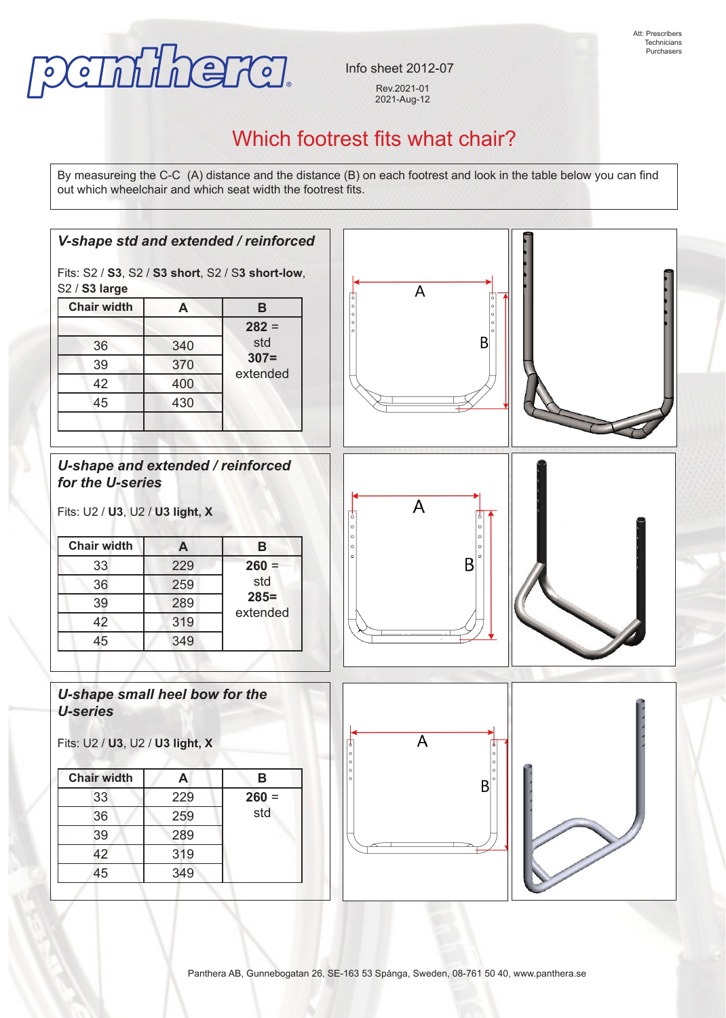

Info sheet 2012-07 Rev.2021-01 2021-Aug-12

## Which footrest fits what chair?

By measureing the C-C (A) distance and the distance (B) on each footrest and look in the table below you can find out which wheelchair and which seat width the footrest fits.